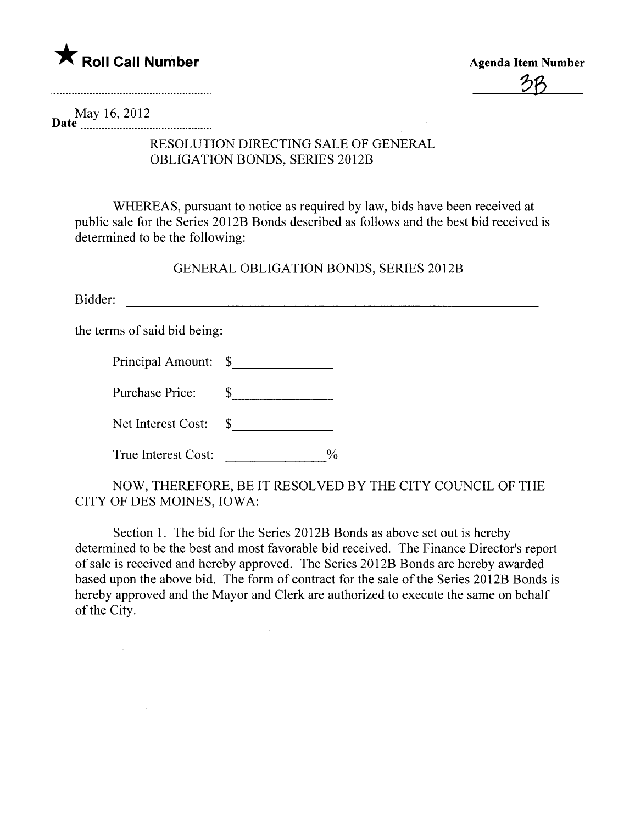

<u> 26</u>

May 16,2012 Date  $\frac{1}{2}$   $\frac{1}{2}$   $\frac{1}{2}$   $\frac{1}{2}$   $\frac{1}{2}$   $\frac{1}{2}$   $\frac{1}{2}$   $\frac{1}{2}$ 

## RESOLUTION DIRECTING SALE OF GENERAL OBLIGATION BONDS, SERIES 2012B

WHEREAS, pursuant to notice as required by law, bids have been received at public sale for the Series 2012B Bonds described as follows and the best bid received is determined to be the following:

GENERAL OBLIGATION BONDS, SERIES 2012B

Bidder: and the contract of the contract of the contract of the contract of the contract of the contract of the contract of the contract of the contract of the contract of the contract of the contract of the contract of th

the terms of said bid being:

 $\sim 10^{-1}$ 

 $\sim 10^{-1}$ 

| Principal Amount: \$ |  |
|----------------------|--|
|----------------------|--|

Purchase Price: \$

Net Interest Cost: \$

NOW, THEREFORE, BE IT RESOLVED BY THE CITY COUNCIL OF THE CITY OF DES MOINES, IOWA:

Section 1. The bid for the Series 2012B Bonds as above set out is hereby determined to be the best and most favorable bid received. The Finance Director's report of sale is received and hereby approved. The Series 201 2B Bonds are hereby awarded based upon the above bid. The form of contract for the sale of the Series 2012B Bonds is hereby approved and the Mayor and Clerk are authorized to execute the same on behalf of the City.